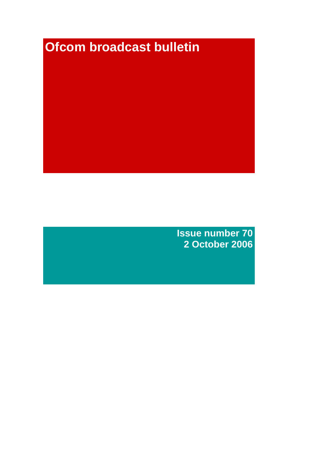# **Ofcom broadcast bulletin**

**Issue number 70 2 October 2006**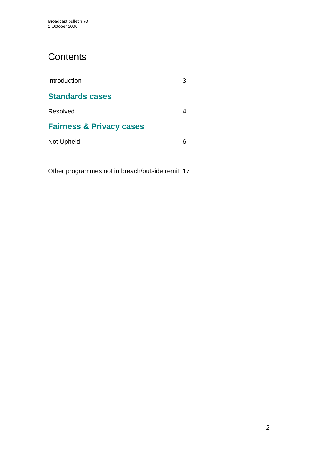# **Contents**

| Introduction                        |  |
|-------------------------------------|--|
| <b>Standards cases</b>              |  |
| Resolved                            |  |
| <b>Fairness &amp; Privacy cases</b> |  |
| Not Upheld                          |  |

Other programmes not in breach/outside remit 17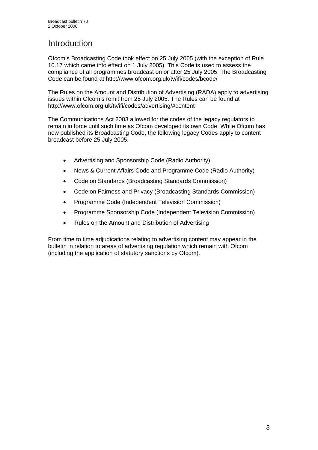# **Introduction**

Ofcom's Broadcasting Code took effect on 25 July 2005 (with the exception of Rule 10.17 which came into effect on 1 July 2005). This Code is used to assess the compliance of all programmes broadcast on or after 25 July 2005. The Broadcasting Code can be found at http://www.ofcom.org.uk/tv/ifi/codes/bcode/

The Rules on the Amount and Distribution of Advertising (RADA) apply to advertising issues within Ofcom's remit from 25 July 2005. The Rules can be found at http://www.ofcom.org.uk/tv/ifi/codes/advertising/#content

The Communications Act 2003 allowed for the codes of the legacy regulators to remain in force until such time as Ofcom developed its own Code. While Ofcom has now published its Broadcasting Code, the following legacy Codes apply to content broadcast before 25 July 2005.

- Advertising and Sponsorship Code (Radio Authority)
- News & Current Affairs Code and Programme Code (Radio Authority)
- Code on Standards (Broadcasting Standards Commission)
- Code on Fairness and Privacy (Broadcasting Standards Commission)
- Programme Code (Independent Television Commission)
- Programme Sponsorship Code (Independent Television Commission)
- Rules on the Amount and Distribution of Advertising

From time to time adjudications relating to advertising content may appear in the bulletin in relation to areas of advertising regulation which remain with Ofcom (including the application of statutory sanctions by Ofcom).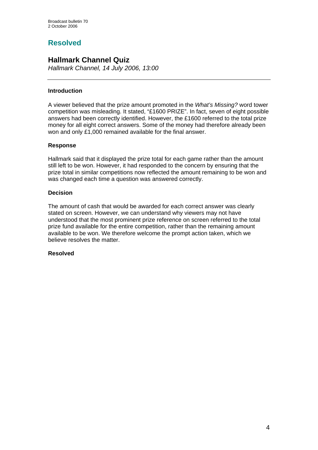# **Resolved**

# **Hallmark Channel Quiz**

*Hallmark Channel, 14 July 2006, 13:00*

# **Introduction**

A viewer believed that the prize amount promoted in the *What's Missing?* word tower competition was misleading. It stated, "£1600 PRIZE". In fact, seven of eight possible answers had been correctly identified. However, the £1600 referred to the total prize money for all eight correct answers. Some of the money had therefore already been won and only £1,000 remained available for the final answer.

# **Response**

Hallmark said that it displayed the prize total for each game rather than the amount still left to be won. However, it had responded to the concern by ensuring that the prize total in similar competitions now reflected the amount remaining to be won and was changed each time a question was answered correctly.

# **Decision**

The amount of cash that would be awarded for each correct answer was clearly stated on screen. However, we can understand why viewers may not have understood that the most prominent prize reference on screen referred to the total prize fund available for the entire competition, rather than the remaining amount available to be won. We therefore welcome the prompt action taken, which we believe resolves the matter.

# **Resolved**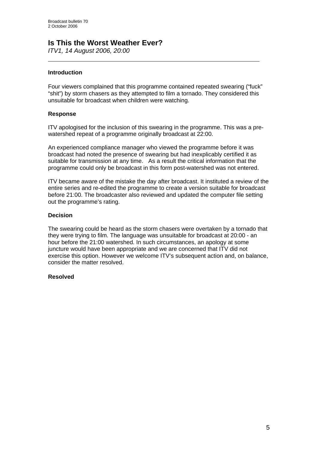# **Is This the Worst Weather Ever?**

*ITV1, 14 August 2006, 20:00* 

# **Introduction**

 $\overline{a}$ 

Four viewers complained that this programme contained repeated swearing ("fuck" "shit") by storm chasers as they attempted to film a tornado. They considered this unsuitable for broadcast when children were watching.

### **Response**

ITV apologised for the inclusion of this swearing in the programme. This was a prewatershed repeat of a programme originally broadcast at 22:00.

An experienced compliance manager who viewed the programme before it was broadcast had noted the presence of swearing but had inexplicably certified it as suitable for transmission at any time. As a result the critical information that the programme could only be broadcast in this form post-watershed was not entered.

ITV became aware of the mistake the day after broadcast. It instituted a review of the entire series and re-edited the programme to create a version suitable for broadcast before 21:00. The broadcaster also reviewed and updated the computer file setting out the programme's rating.

### **Decision**

The swearing could be heard as the storm chasers were overtaken by a tornado that they were trying to film. The language was unsuitable for broadcast at 20:00 - an hour before the 21:00 watershed. In such circumstances, an apology at some juncture would have been appropriate and we are concerned that ITV did not exercise this option. However we welcome ITV's subsequent action and, on balance, consider the matter resolved.

# **Resolved**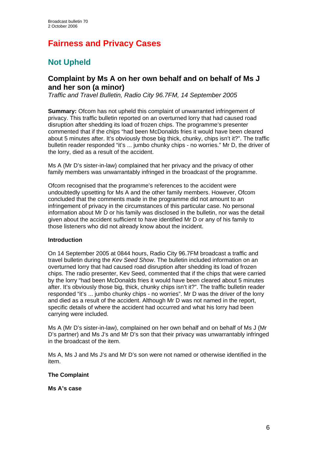# **Fairness and Privacy Cases**

# **Not Upheld**

# **Complaint by Ms A on her own behalf and on behalf of Ms J and her son (a minor)**

*Traffic and Travel Bulletin, Radio City 96.7FM, 14 September 2005* 

**Summary:** Ofcom has not upheld this complaint of unwarranted infringement of privacy. This traffic bulletin reported on an overturned lorry that had caused road disruption after shedding its load of frozen chips. The programme's presenter commented that if the chips "had been McDonalds fries it would have been cleared about 5 minutes after. It's obviously those big thick, chunky, chips isn't it?". The traffic bulletin reader responded "it's ... jumbo chunky chips - no worries." Mr D, the driver of the lorry, died as a result of the accident.

Ms A (Mr D's sister-in-law) complained that her privacy and the privacy of other family members was unwarrantably infringed in the broadcast of the programme.

Ofcom recognised that the programme's references to the accident were undoubtedly upsetting for Ms A and the other family members. However, Ofcom concluded that the comments made in the programme did not amount to an infringement of privacy in the circumstances of this particular case. No personal information about Mr D or his family was disclosed in the bulletin, nor was the detail given about the accident sufficient to have identified Mr D or any of his family to those listeners who did not already know about the incident.

# **Introduction**

On 14 September 2005 at 0844 hours, Radio City 96.7FM broadcast a traffic and travel bulletin during the *Kev Seed Show*. The bulletin included information on an overturned lorry that had caused road disruption after shedding its load of frozen chips. The radio presenter, Kev Seed, commented that if the chips that were carried by the lorry "had been McDonalds fries it would have been cleared about 5 minutes after. It's obviously those big, thick, chunky chips isn't it?". The traffic bulletin reader responded "it's ... jumbo chunky chips - no worries". Mr D was the driver of the lorry and died as a result of the accident. Although Mr D was not named in the report, specific details of where the accident had occurred and what his lorry had been carrying were included.

Ms A (Mr D's sister-in-law), complained on her own behalf and on behalf of Ms J (Mr D's partner) and Ms J's and Mr D's son that their privacy was unwarrantably infringed in the broadcast of the item.

Ms A, Ms J and Ms J's and Mr D's son were not named or otherwise identified in the item.

# **The Complaint**

**Ms A's case**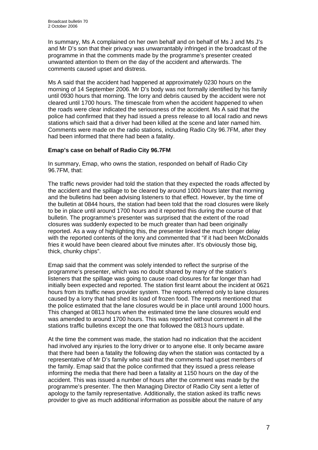In summary, Ms A complained on her own behalf and on behalf of Ms J and Ms J's and Mr D's son that their privacy was unwarrantably infringed in the broadcast of the programme in that the comments made by the programme's presenter created unwanted attention to them on the day of the accident and afterwards. The comments caused upset and distress.

Ms A said that the accident had happened at approximately 0230 hours on the morning of 14 September 2006. Mr D's body was not formally identified by his family until 0930 hours that morning. The lorry and debris caused by the accident were not cleared until 1700 hours. The timescale from when the accident happened to when the roads were clear indicated the seriousness of the accident. Ms A said that the police had confirmed that they had issued a press release to all local radio and news stations which said that a driver had been killed at the scene and later named him. Comments were made on the radio stations, including Radio City 96.7FM, after they had been informed that there had been a fatality.

# **Emap's case on behalf of Radio City 96.7FM**

In summary, Emap, who owns the station, responded on behalf of Radio City 96.7FM, that:

The traffic news provider had told the station that they expected the roads affected by the accident and the spillage to be cleared by around 1000 hours later that morning and the bulletins had been advising listeners to that effect. However, by the time of the bulletin at 0844 hours, the station had been told that the road closures were likely to be in place until around 1700 hours and it reported this during the course of that bulletin. The programme's presenter was surprised that the extent of the road closures was suddenly expected to be much greater than had been originally reported. As a way of highlighting this, the presenter linked the much longer delay with the reported contents of the lorry and commented that "if it had been McDonalds fries it would have been cleared about five minutes after. It's obviously those big, thick, chunky chips".

Emap said that the comment was solely intended to reflect the surprise of the programme's presenter, which was no doubt shared by many of the station's listeners that the spillage was going to cause road closures for far longer than had initially been expected and reported. The station first learnt about the incident at 0621 hours from its traffic news provider system. The reports referred only to lane closures caused by a lorry that had shed its load of frozen food. The reports mentioned that the police estimated that the lane closures would be in place until around 1000 hours. This changed at 0813 hours when the estimated time the lane closures would end was amended to around 1700 hours. This was reported without comment in all the stations traffic bulletins except the one that followed the 0813 hours update.

At the time the comment was made, the station had no indication that the accident had involved any injuries to the lorry driver or to anyone else. It only became aware that there had been a fatality the following day when the station was contacted by a representative of Mr D's family who said that the comments had upset members of the family. Emap said that the police confirmed that they issued a press release informing the media that there had been a fatality at 1150 hours on the day of the accident. This was issued a number of hours after the comment was made by the programme's presenter. The then Managing Director of Radio City sent a letter of apology to the family representative. Additionally, the station asked its traffic news provider to give as much additional information as possible about the nature of any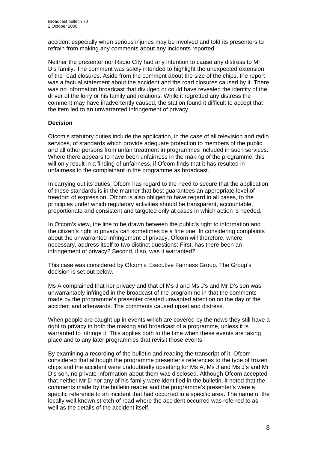accident especially when serious injuries may be involved and told its presenters to refrain from making any comments about any incidents reported.

Neither the presenter nor Radio City had any intention to cause any distress to Mr D's family. The comment was solely intended to highlight the unexpected extension of the road closures. Aside from the comment about the size of the chips, the report was a factual statement about the accident and the road closures caused by it. There was no information broadcast that divulged or could have revealed the identity of the driver of the lorry or his family and relations. While it regretted any distress the comment may have inadvertently caused, the station found it difficult to accept that the item led to an unwarranted infringement of privacy.

# **Decision**

Ofcom's statutory duties include the application, in the case of all television and radio services, of standards which provide adequate protection to members of the public and all other persons from unfair treatment in programmes included in such services. Where there appears to have been unfairness in the making of the programme, this will only result in a finding of unfairness, if Ofcom finds that it has resulted in unfairness to the complainant in the programme as broadcast.

In carrying out its duties, Ofcom has regard to the need to secure that the application of these standards is in the manner that best guarantees an appropriate level of freedom of expression. Ofcom is also obliged to have regard in all cases, to the principles under which regulatory activities should be transparent, accountable, proportionate and consistent and targeted only at cases in which action is needed.

In Ofcom's view, the line to be drawn between the public's right to information and the citizen's right to privacy can sometimes be a fine one. In considering complaints about the unwarranted infringement of privacy, Ofcom will therefore, where necessary, address itself to two distinct questions: First, has there been an infringement of privacy? Second, if so, was it warranted?

This case was considered by Ofcom's Executive Fairness Group. The Group's decision is set out below.

Ms A complained that her privacy and that of Ms J and Ms J's and Mr D's son was unwarrantably infringed in the broadcast of the programme in that the comments made by the programme's presenter created unwanted attention on the day of the accident and afterwards. The comments caused upset and distress.

When people are caught up in events which are covered by the news they still have a right to privacy in both the making and broadcast of a programme, unless it is warranted to infringe it. This applies both to the time when these events are taking place and to any later programmes that revisit those events.

By examining a recording of the bulletin and reading the transcript of it, Ofcom considered that although the programme presenter's references to the type of frozen chips and the accident were undoubtedly upsetting for Ms A, Ms J and Ms J's and Mr D's son, no private information about them was disclosed. Although Ofcom accepted that neither Mr D nor any of his family were identified in the bulletin, it noted that the comments made by the bulletin reader and the programme's presenter's were a specific reference to an incident that had occurred in a specific area. The name of the locally well-known stretch of road where the accident occurred was referred to as well as the details of the accident itself.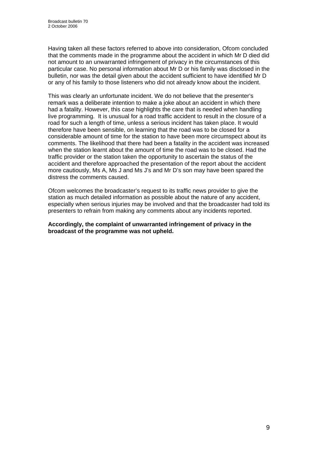Having taken all these factors referred to above into consideration, Ofcom concluded that the comments made in the programme about the accident in which Mr D died did not amount to an unwarranted infringement of privacy in the circumstances of this particular case. No personal information about Mr D or his family was disclosed in the bulletin, nor was the detail given about the accident sufficient to have identified Mr D or any of his family to those listeners who did not already know about the incident.

This was clearly an unfortunate incident. We do not believe that the presenter's remark was a deliberate intention to make a joke about an accident in which there had a fatality. However, this case highlights the care that is needed when handling live programming. It is unusual for a road traffic accident to result in the closure of a road for such a length of time, unless a serious incident has taken place. It would therefore have been sensible, on learning that the road was to be closed for a considerable amount of time for the station to have been more circumspect about its comments. The likelihood that there had been a fatality in the accident was increased when the station learnt about the amount of time the road was to be closed. Had the traffic provider or the station taken the opportunity to ascertain the status of the accident and therefore approached the presentation of the report about the accident more cautiously, Ms A, Ms J and Ms J's and Mr D's son may have been spared the distress the comments caused.

Ofcom welcomes the broadcaster's request to its traffic news provider to give the station as much detailed information as possible about the nature of any accident, especially when serious injuries may be involved and that the broadcaster had told its presenters to refrain from making any comments about any incidents reported.

**Accordingly, the complaint of unwarranted infringement of privacy in the broadcast of the programme was not upheld.**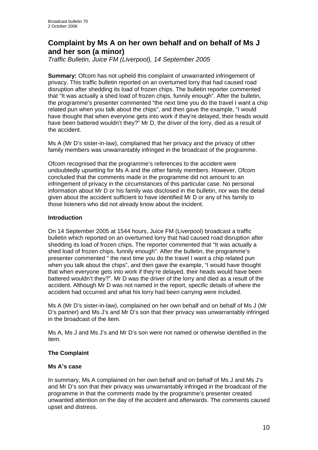# **Complaint by Ms A on her own behalf and on behalf of Ms J and her son (a minor)**

*Traffic Bulletin, Juice FM (Liverpool), 14 September 2005* 

**Summary:** Ofcom has not upheld this complaint of unwarranted infringement of privacy. This traffic bulletin reported on an overturned lorry that had caused road disruption after shedding its load of frozen chips. The bulletin reporter commented that "It was actually a shed load of frozen chips, funnily enough". After the bulletin, the programme's presenter commented "the next time you do the travel I want a chip related pun when you talk about the chips", and then gave the example, "I would have thought that when everyone gets into work if they're delayed, their heads would have been battered wouldn't they?" Mr D, the driver of the lorry, died as a result of the accident.

Ms A (Mr D's sister-in-law), complained that her privacy and the privacy of other family members was unwarrantably infringed in the broadcast of the programme.

Ofcom recognised that the programme's references to the accident were undoubtedly upsetting for Ms A and the other family members. However, Ofcom concluded that the comments made in the programme did not amount to an infringement of privacy in the circumstances of this particular case. No personal information about Mr D or his family was disclosed in the bulletin, nor was the detail given about the accident sufficient to have identified Mr D or any of his family to those listeners who did not already know about the incident.

# **Introduction**

On 14 September 2005 at 1544 hours, Juice FM (Liverpool) broadcast a traffic bulletin which reported on an overturned lorry that had caused road disruption after shedding its load of frozen chips. The reporter commented that "It was actually a shed load of frozen chips, funnily enough". After the bulletin, the programme's presenter commented " the next time you do the travel I want a chip related pun when you talk about the chips", and then gave the example, "I would have thought that when everyone gets into work if they're delayed, their heads would have been battered wouldn't they?". Mr D was the driver of the lorry and died as a result of the accident. Although Mr D was not named in the report, specific details of where the accident had occurred and what his lorry had been carrying were included.

Ms A (Mr D's sister-in-law), complained on her own behalf and on behalf of Ms J (Mr D's partner) and Ms J's and Mr D's son that their privacy was unwarrantably infringed in the broadcast of the item.

Ms A, Ms J and Ms J's and Mr D's son were not named or otherwise identified in the item.

# **The Complaint**

# **Ms A's case**

In summary, Ms A complained on her own behalf and on behalf of Ms J and Ms J's and Mr D's son that their privacy was unwarrantably infringed in the broadcast of the programme in that the comments made by the programme's presenter created unwanted attention on the day of the accident and afterwards. The comments caused upset and distress.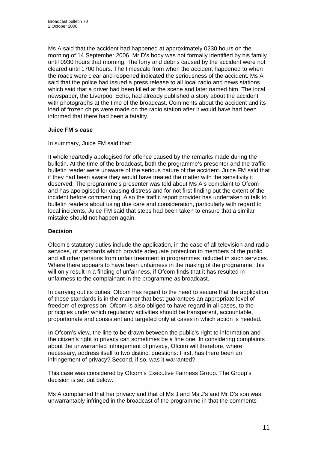Ms A said that the accident had happened at approximately 0230 hours on the morning of 14 September 2006. Mr D's body was not formally identified by his family until 0930 hours that morning. The lorry and debris caused by the accident were not cleared until 1700 hours. The timescale from when the accident happened to when the roads were clear and reopened indicated the seriousness of the accident. Ms A said that the police had issued a press release to all local radio and news stations which said that a driver had been killed at the scene and later named him. The local newspaper, the Liverpool Echo, had already published a story about the accident with photographs at the time of the broadcast. Comments about the accident and its load of frozen chips were made on the radio station after it would have had been informed that there had been a fatality.

# **Juice FM's case**

In summary, Juice FM said that:

It wholeheartedly apologised for offence caused by the remarks made during the bulletin. At the time of the broadcast, both the programme's presenter and the traffic bulletin reader were unaware of the serious nature of the accident. Juice FM said that if they had been aware they would have treated the matter with the sensitivity it deserved. The programme's presenter was told about Ms A's complaint to Ofcom and has apologised for causing distress and for not first finding out the extent of the incident before commenting. Also the traffic report provider has undertaken to talk to bulletin readers about using due care and consideration, particularly with regard to local incidents. Juice FM said that steps had been taken to ensure that a similar mistake should not happen again.

# **Decision**

Ofcom's statutory duties include the application, in the case of all television and radio services, of standards which provide adequate protection to members of the public and all other persons from unfair treatment in programmes included in such services. Where there appears to have been unfairness in the making of the programme, this will only result in a finding of unfairness, if Ofcom finds that it has resulted in unfairness to the complainant in the programme as broadcast.

In carrying out its duties, Ofcom has regard to the need to secure that the application of these standards is in the manner that best guarantees an appropriate level of freedom of expression. Ofcom is also obliged to have regard in all cases, to the principles under which regulatory activities should be transparent, accountable, proportionate and consistent and targeted only at cases in which action is needed.

In Ofcom's view, the line to be drawn between the public's right to information and the citizen's right to privacy can sometimes be a fine one. In considering complaints about the unwarranted infringement of privacy, Ofcom will therefore, where necessary, address itself to two distinct questions: First, has there been an infringement of privacy? Second, if so, was it warranted?

This case was considered by Ofcom's Executive Fairness Group. The Group's decision is set out below.

Ms A complained that her privacy and that of Ms J and Ms J's and Mr D's son was unwarrantably infringed in the broadcast of the programme in that the comments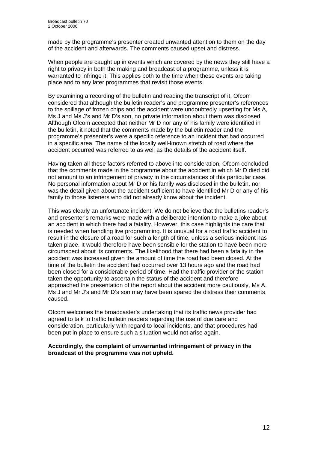made by the programme's presenter created unwanted attention to them on the day of the accident and afterwards. The comments caused upset and distress.

When people are caught up in events which are covered by the news they still have a right to privacy in both the making and broadcast of a programme, unless it is warranted to infringe it. This applies both to the time when these events are taking place and to any later programmes that revisit those events.

By examining a recording of the bulletin and reading the transcript of it, Ofcom considered that although the bulletin reader's and programme presenter's references to the spillage of frozen chips and the accident were undoubtedly upsetting for Ms A, Ms J and Ms J's and Mr D's son, no private information about them was disclosed. Although Ofcom accepted that neither Mr D nor any of his family were identified in the bulletin, it noted that the comments made by the bulletin reader and the programme's presenter's were a specific reference to an incident that had occurred in a specific area. The name of the locally well-known stretch of road where the accident occurred was referred to as well as the details of the accident itself.

Having taken all these factors referred to above into consideration, Ofcom concluded that the comments made in the programme about the accident in which Mr D died did not amount to an infringement of privacy in the circumstances of this particular case. No personal information about Mr D or his family was disclosed in the bulletin, nor was the detail given about the accident sufficient to have identified Mr D or any of his family to those listeners who did not already know about the incident.

This was clearly an unfortunate incident. We do not believe that the bulletins reader's and presenter's remarks were made with a deliberate intention to make a joke about an accident in which there had a fatality. However, this case highlights the care that is needed when handling live programming. It is unusual for a road traffic accident to result in the closure of a road for such a length of time, unless a serious incident has taken place. It would therefore have been sensible for the station to have been more circumspect about its comments. The likelihood that there had been a fatality in the accident was increased given the amount of time the road had been closed. At the time of the bulletin the accident had occurred over 13 hours ago and the road had been closed for a considerable period of time. Had the traffic provider or the station taken the opportunity to ascertain the status of the accident and therefore approached the presentation of the report about the accident more cautiously, Ms A, Ms J and Mr J's and Mr D's son may have been spared the distress their comments caused.

Ofcom welcomes the broadcaster's undertaking that its traffic news provider had agreed to talk to traffic bulletin readers regarding the use of due care and consideration, particularly with regard to local incidents, and that procedures had been put in place to ensure such a situation would not arise again.

### **Accordingly, the complaint of unwarranted infringement of privacy in the broadcast of the programme was not upheld.**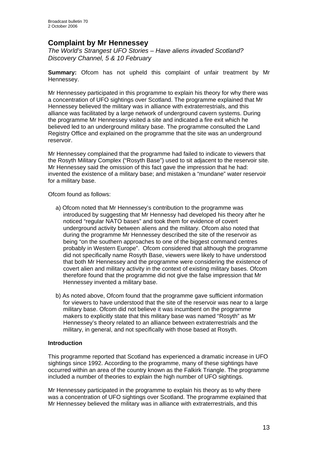# **Complaint by Mr Hennessey**

*The World's Strangest UFO Stories – Have aliens invaded Scotland? Discovery Channel, 5 & 10 February* 

**Summary:** Ofcom has not upheld this complaint of unfair treatment by Mr Hennessey.

Mr Hennessey participated in this programme to explain his theory for why there was a concentration of UFO sightings over Scotland. The programme explained that Mr Hennessey believed the military was in alliance with extraterrestrials, and this alliance was facilitated by a large network of underground cavern systems. During the programme Mr Hennessey visited a site and indicated a fire exit which he believed led to an underground military base. The programme consulted the Land Registry Office and explained on the programme that the site was an underground reservoir.

Mr Hennessey complained that the programme had failed to indicate to viewers that the Rosyth Military Complex ("Rosyth Base") used to sit adjacent to the reservoir site. Mr Hennessey said the omission of this fact gave the impression that he had: invented the existence of a military base; and mistaken a "mundane" water reservoir for a military base.

Ofcom found as follows:

- a) Ofcom noted that Mr Hennessey's contribution to the programme was introduced by suggesting that Mr Hennessy had developed his theory after he noticed "regular NATO bases" and took them for evidence of covert underground activity between aliens and the military. Ofcom also noted that during the programme Mr Hennessey described the site of the reservoir as being "on the southern approaches to one of the biggest command centres probably in Western Europe". Ofcom considered that although the programme did not specifically name Rosyth Base, viewers were likely to have understood that both Mr Hennessey and the programme were considering the existence of covert alien and military activity in the context of existing military bases. Ofcom therefore found that the programme did not give the false impression that Mr Hennessey invented a military base.
- b) As noted above, Ofcom found that the programme gave sufficient information for viewers to have understood that the site of the reservoir was near to a large military base. Ofcom did not believe it was incumbent on the programme makers to explicitly state that this military base was named "Rosyth" as Mr Hennessey's theory related to an alliance between extraterrestrials and the military, in general, and not specifically with those based at Rosyth.

# **Introduction**

This programme reported that Scotland has experienced a dramatic increase in UFO sightings since 1992. According to the programme, many of these sightings have occurred within an area of the country known as the Falkirk Triangle. The programme included a number of theories to explain the high number of UFO sightings.

Mr Hennessey participated in the programme to explain his theory as to why there was a concentration of UFO sightings over Scotland. The programme explained that Mr Hennessey believed the military was in alliance with extraterrestrials, and this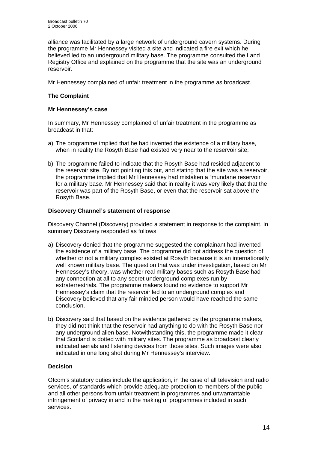alliance was facilitated by a large network of underground cavern systems. During the programme Mr Hennessey visited a site and indicated a fire exit which he believed led to an underground military base. The programme consulted the Land Registry Office and explained on the programme that the site was an underground reservoir.

Mr Hennessey complained of unfair treatment in the programme as broadcast.

# **The Complaint**

# **Mr Hennessey's case**

In summary, Mr Hennessey complained of unfair treatment in the programme as broadcast in that:

- a) The programme implied that he had invented the existence of a military base, when in reality the Rosyth Base had existed very near to the reservoir site;
- b) The programme failed to indicate that the Rosyth Base had resided adjacent to the reservoir site. By not pointing this out, and stating that the site was a reservoir, the programme implied that Mr Hennessey had mistaken a "mundane reservoir" for a military base. Mr Hennessey said that in reality it was very likely that that the reservoir was part of the Rosyth Base, or even that the reservoir sat above the Rosyth Base.

### **Discovery Channel's statement of response**

Discovery Channel (Discovery) provided a statement in response to the complaint. In summary Discovery responded as follows:

- a) Discovery denied that the programme suggested the complainant had invented the existence of a military base. The programme did not address the question of whether or not a military complex existed at Rosyth because it is an internationally well known military base. The question that was under investigation, based on Mr Hennessey's theory, was whether real military bases such as Rosyth Base had any connection at all to any secret underground complexes run by extraterrestrials. The programme makers found no evidence to support Mr Hennessey's claim that the reservoir led to an underground complex and Discovery believed that any fair minded person would have reached the same conclusion.
- b) Discovery said that based on the evidence gathered by the programme makers, they did not think that the reservoir had anything to do with the Rosyth Base nor any underground alien base. Notwithstanding this, the programme made it clear that Scotland is dotted with military sites. The programme as broadcast clearly indicated aerials and listening devices from those sites. Such images were also indicated in one long shot during Mr Hennessey's interview.

# **Decision**

Ofcom's statutory duties include the application, in the case of all television and radio services, of standards which provide adequate protection to members of the public and all other persons from unfair treatment in programmes and unwarrantable infringement of privacy in and in the making of programmes included in such services.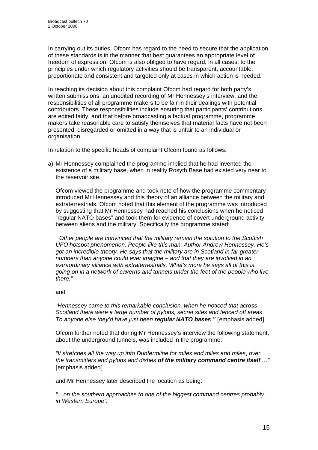In carrying out its duties, Ofcom has regard to the need to secure that the application of these standards is in the manner that best guarantees an appropriate level of freedom of expression. Ofcom is also obliged to have regard, in all cases, to the principles under which regulatory activities should be transparent, accountable, proportionate and consistent and targeted only at cases in which action is needed.

In reaching its decision about this complaint Ofcom had regard for both party's written submissions, an unedited recording of Mr Hennessey's interview, and the responsibilities of all programme makers to be fair in their dealings with potential contributors. These responsibilities include ensuring that participants' contributions are edited fairly, and that before broadcasting a factual programme, programme makers take reasonable care to satisfy themselves that material facts have not been presented, disregarded or omitted in a way that is unfair to an individual or organisation.

In relation to the specific heads of complaint Ofcom found as follows:

a) Mr Hennessey complained the programme implied that he had invented the existence of a military base, when in reality Rosyth Base had existed very near to the reservoir site.

Ofcom viewed the programme and took note of how the programme commentary introduced Mr Hennessey and this theory of an alliance between the military and extraterrestrials. Ofcom noted that this element of the programme was introduced by suggesting that Mr Hennessey had reached his conclusions when he noticed "regular NATO bases" and took them for evidence of covert underground activity between aliens and the military. Specifically the programme stated:

 *"Other people are convinced that the military remain the solution to the Scottish UFO hotspot phenomenon. People like this man. Author Andrew Hennessey. He's got an incredible theory. He says that the military are in Scotland in far greater numbers than anyone could ever imagine – and that they are involved in an extraordinary alliance with extraterrestrials. What's more he says all of this is going on in a network of caverns and tunnels under the feet of the people who live there."* 

# and

"*Hennessey came to this remarkable conclusion, when he noticed that across Scotland there were a large number of pylons, secret sites and fenced off areas. To anyone else they'd have just been regular NATO bases*.*"* [emphasis added]

Ofcom further noted that during Mr Hennessey's interview the following statement, about the underground tunnels, was included in the programme:

*"It stretches all the way up into Dunfermline for miles and miles and miles*, *over the transmitters and pylons and dishes of the military command centre itself …"*  [emphasis added]

and Mr Hennessey later described the location as being:

*"…on the southern approaches to one of the biggest command centres probably in Western Europe".*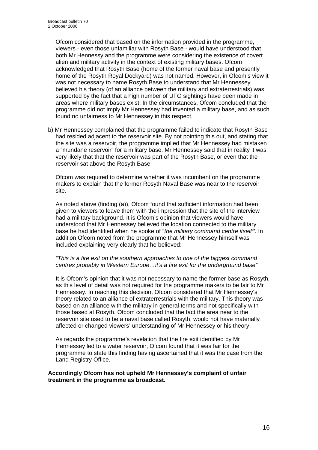Ofcom considered that based on the information provided in the programme, viewers - even those unfamiliar with Rosyth Base - would have understood that both Mr Hennessy and the programme were considering the existence of covert alien and military activity in the context of existing military bases. Ofcom acknowledged that Rosyth Base (home of the former naval base and presently home of the Rosyth Royal Dockyard) was not named. However, in Ofcom's view it was not necessary to name Rosyth Base to understand that Mr Hennessey believed his theory (of an alliance between the military and extraterrestrials) was supported by the fact that a high number of UFO sightings have been made in areas where military bases exist. In the circumstances, Ofcom concluded that the programme did not imply Mr Hennessey had invented a military base, and as such found no unfairness to Mr Hennessey in this respect.

b) Mr Hennessey complained that the programme failed to indicate that Rosyth Base had resided adjacent to the reservoir site. By not pointing this out, and stating that the site was a reservoir, the programme implied that Mr Hennessey had mistaken a "mundane reservoir" for a military base. Mr Hennessey said that in reality it was very likely that that the reservoir was part of the Rosyth Base, or even that the reservoir sat above the Rosyth Base.

Ofcom was required to determine whether it was incumbent on the programme makers to explain that the former Rosyth Naval Base was near to the reservoir site.

As noted above (finding (a)), Ofcom found that sufficient information had been given to viewers to leave them with the impression that the site of the interview had a military background. It is Ofcom's opinion that viewers would have understood that Mr Hennessey believed the location connected to the military base he had identified when he spoke of "*the military command centre itself"*. In addition Ofcom noted from the programme that Mr Hennessey himself was included explaining very clearly that he believed:

### *"This is a fire exit on the southern approaches to one of the biggest command centres probably in Western Europe…it's a fire exit for the underground base"*

 It is Ofcom's opinion that it was not necessary to name the former base as Rosyth, as this level of detail was not required for the programme makers to be fair to Mr Hennessey. In reaching this decision, Ofcom considered that Mr Hennessey's theory related to an alliance of extraterrestrials with the military. This theory was based on an alliance with the military in general terms and not specifically with those based at Rosyth. Ofcom concluded that the fact the area near to the reservoir site used to be a naval base called Rosyth, would not have materially affected or changed viewers' understanding of Mr Hennessey or his theory.

As regards the programme's revelation that the fire exit identified by Mr Hennessey led to a water reservoir, Ofcom found that it was fair for the programme to state this finding having ascertained that it was the case from the Land Registry Office.

### **Accordingly Ofcom has not upheld Mr Hennessey's complaint of unfair treatment in the programme as broadcast.**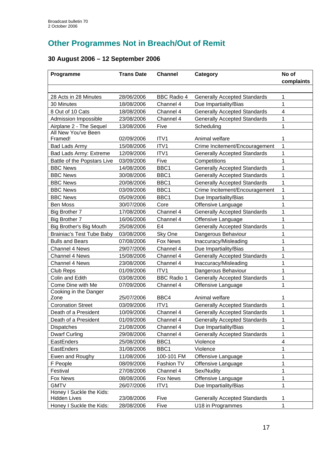# **Other Programmes Not in Breach/Out of Remit**

# **30 August 2006 – 12 September 2006**

| complaints<br>28 Acts in 28 Minutes<br><b>BBC Radio 4</b><br>28/06/2006<br>1<br><b>Generally Accepted Standards</b><br>1<br>30 Minutes<br>18/08/2006<br>Channel 4<br>Due Impartiality/Bias<br>8 Out of 10 Cats<br><b>Generally Accepted Standards</b><br>4<br>18/08/2006<br>Channel 4<br>Admission Impossible<br><b>Generally Accepted Standards</b><br>1<br>23/08/2006<br>Channel 4<br>Airplane 2 - The Sequel<br>13/08/2006<br>Scheduling<br>1<br>Five<br>All New You've Been<br>02/09/2006<br>ITV1<br>Framed!<br>Animal welfare<br>1<br>1<br>ITV1<br>Crime Incitement/Encouragement<br>15/08/2006<br>Bad Lads Army<br>ITV1<br>1<br>Bad Lads Army: Extreme<br>12/09/2006<br><b>Generally Accepted Standards</b><br>Five<br>Battle of the Popstars Live<br>Competitions<br>1<br>03/09/2006<br><b>BBC News</b><br>BBC1<br><b>Generally Accepted Standards</b><br>1<br>14/08/2006<br>BBC1<br>1<br><b>BBC News</b><br>30/08/2006<br><b>Generally Accepted Standards</b><br>BBC1<br><b>Generally Accepted Standards</b><br><b>BBC News</b><br>20/08/2006<br>1<br><b>BBC News</b><br>03/09/2006<br>BBC1<br>Crime Incitement/Encouragement<br>1<br>1<br><b>BBC News</b><br>BBC1<br>05/09/2006<br>Due Impartiality/Bias<br>1<br><b>Ben Moss</b><br>30/07/2006<br>Core<br>Offensive Language<br><b>Big Brother 7</b><br>Channel 4<br><b>Generally Accepted Standards</b><br>1<br>17/08/2006<br>1<br><b>Big Brother 7</b><br>16/06/2006<br>Channel 4<br>Offensive Language<br>E <sub>4</sub><br>1<br>Big Brother's Big Mouth<br>25/08/2006<br><b>Generally Accepted Standards</b><br><b>Brainiac's Test Tube Baby</b><br>1<br>03/08/2006<br>Sky One<br>Dangerous Behaviour<br><b>Bulls and Bears</b><br>07/08/2006<br><b>Fox News</b><br>Inaccuracy/Misleading<br>1<br>1<br><b>Channel 4 News</b><br>29/07/2006<br>Channel 4<br>Due Impartiality/Bias<br>1<br><b>Channel 4 News</b><br>15/08/2006<br>Channel 4<br><b>Generally Accepted Standards</b><br>Channel 4 News<br>1<br>23/08/2006<br>Channel 4<br>Inaccuracy/Misleading<br>1<br>01/09/2006<br>ITV <sub>1</sub><br><b>Club Reps</b><br>Dangerous Behaviour<br>$\mathbf{1}$<br>Colin and Edith<br>03/08/2006<br><b>BBC Radio 1</b><br><b>Generally Accepted Standards</b><br>1<br>Come Dine with Me<br>07/09/2006<br>Channel 4<br>Offensive Language<br>Cooking in the Danger<br>Zone<br>BBC4<br>25/07/2006<br>Animal welfare<br>1<br><b>Coronation Street</b><br>ITV1<br>1<br>03/09/2006<br><b>Generally Accepted Standards</b><br>Death of a President<br>10/09/2006<br>Channel 4<br><b>Generally Accepted Standards</b><br>1<br>Death of a President<br>01/09/2006<br>Channel 4<br><b>Generally Accepted Standards</b><br>1<br>Due Impartiality/Bias<br><b>Dispatches</b><br>21/08/2006<br>Channel 4<br>1<br><b>Generally Accepted Standards</b><br><b>Dwarf Curling</b><br>29/08/2006<br>Channel 4<br>1<br>EastEnders<br>25/08/2006<br>BBC1<br>Violence<br>4<br>BBC1<br>Violence<br>1<br>EastEnders<br>31/08/2006<br>Ewen and Roughy<br>11/08/2006<br>1<br>100-101 FM<br>Offensive Language<br>1<br>F People<br>08/09/2006<br>Fashion TV<br>Offensive Language<br>1<br>27/08/2006<br>Channel 4<br>Sex/Nudity<br>Festival<br>Fox News<br>Fox News<br>1<br>08/08/2006<br>Offensive Language<br><b>GMTV</b><br>ITV1<br>Due Impartiality/Bias<br>1<br>26/07/2006<br>Honey I Suckle the Kids:<br>23/08/2006<br><b>Hidden Lives</b><br>Five<br><b>Generally Accepted Standards</b><br>1 | Programme                | <b>Trans Date</b> | <b>Channel</b> | Category          | No of |
|--------------------------------------------------------------------------------------------------------------------------------------------------------------------------------------------------------------------------------------------------------------------------------------------------------------------------------------------------------------------------------------------------------------------------------------------------------------------------------------------------------------------------------------------------------------------------------------------------------------------------------------------------------------------------------------------------------------------------------------------------------------------------------------------------------------------------------------------------------------------------------------------------------------------------------------------------------------------------------------------------------------------------------------------------------------------------------------------------------------------------------------------------------------------------------------------------------------------------------------------------------------------------------------------------------------------------------------------------------------------------------------------------------------------------------------------------------------------------------------------------------------------------------------------------------------------------------------------------------------------------------------------------------------------------------------------------------------------------------------------------------------------------------------------------------------------------------------------------------------------------------------------------------------------------------------------------------------------------------------------------------------------------------------------------------------------------------------------------------------------------------------------------------------------------------------------------------------------------------------------------------------------------------------------------------------------------------------------------------------------------------------------------------------------------------------------------------------------------------------------------------------------------------------------------------------------------------------------------------------------------------------------------------------------------------------------------------------------------------------------------------------------------------------------------------------------------------------------------------------------------------------------------------------------------------------------------------------------------------------------------------------------------------------------------------------------------------------------------------------------------------------------------------------------------------------------------------------------------------------------------------------------------------------------------------------------------------------------------------------------------------------------------------------------------------------|--------------------------|-------------------|----------------|-------------------|-------|
|                                                                                                                                                                                                                                                                                                                                                                                                                                                                                                                                                                                                                                                                                                                                                                                                                                                                                                                                                                                                                                                                                                                                                                                                                                                                                                                                                                                                                                                                                                                                                                                                                                                                                                                                                                                                                                                                                                                                                                                                                                                                                                                                                                                                                                                                                                                                                                                                                                                                                                                                                                                                                                                                                                                                                                                                                                                                                                                                                                                                                                                                                                                                                                                                                                                                                                                                                                                                                                      |                          |                   |                |                   |       |
|                                                                                                                                                                                                                                                                                                                                                                                                                                                                                                                                                                                                                                                                                                                                                                                                                                                                                                                                                                                                                                                                                                                                                                                                                                                                                                                                                                                                                                                                                                                                                                                                                                                                                                                                                                                                                                                                                                                                                                                                                                                                                                                                                                                                                                                                                                                                                                                                                                                                                                                                                                                                                                                                                                                                                                                                                                                                                                                                                                                                                                                                                                                                                                                                                                                                                                                                                                                                                                      |                          |                   |                |                   |       |
|                                                                                                                                                                                                                                                                                                                                                                                                                                                                                                                                                                                                                                                                                                                                                                                                                                                                                                                                                                                                                                                                                                                                                                                                                                                                                                                                                                                                                                                                                                                                                                                                                                                                                                                                                                                                                                                                                                                                                                                                                                                                                                                                                                                                                                                                                                                                                                                                                                                                                                                                                                                                                                                                                                                                                                                                                                                                                                                                                                                                                                                                                                                                                                                                                                                                                                                                                                                                                                      |                          |                   |                |                   |       |
|                                                                                                                                                                                                                                                                                                                                                                                                                                                                                                                                                                                                                                                                                                                                                                                                                                                                                                                                                                                                                                                                                                                                                                                                                                                                                                                                                                                                                                                                                                                                                                                                                                                                                                                                                                                                                                                                                                                                                                                                                                                                                                                                                                                                                                                                                                                                                                                                                                                                                                                                                                                                                                                                                                                                                                                                                                                                                                                                                                                                                                                                                                                                                                                                                                                                                                                                                                                                                                      |                          |                   |                |                   |       |
|                                                                                                                                                                                                                                                                                                                                                                                                                                                                                                                                                                                                                                                                                                                                                                                                                                                                                                                                                                                                                                                                                                                                                                                                                                                                                                                                                                                                                                                                                                                                                                                                                                                                                                                                                                                                                                                                                                                                                                                                                                                                                                                                                                                                                                                                                                                                                                                                                                                                                                                                                                                                                                                                                                                                                                                                                                                                                                                                                                                                                                                                                                                                                                                                                                                                                                                                                                                                                                      |                          |                   |                |                   |       |
|                                                                                                                                                                                                                                                                                                                                                                                                                                                                                                                                                                                                                                                                                                                                                                                                                                                                                                                                                                                                                                                                                                                                                                                                                                                                                                                                                                                                                                                                                                                                                                                                                                                                                                                                                                                                                                                                                                                                                                                                                                                                                                                                                                                                                                                                                                                                                                                                                                                                                                                                                                                                                                                                                                                                                                                                                                                                                                                                                                                                                                                                                                                                                                                                                                                                                                                                                                                                                                      |                          |                   |                |                   |       |
|                                                                                                                                                                                                                                                                                                                                                                                                                                                                                                                                                                                                                                                                                                                                                                                                                                                                                                                                                                                                                                                                                                                                                                                                                                                                                                                                                                                                                                                                                                                                                                                                                                                                                                                                                                                                                                                                                                                                                                                                                                                                                                                                                                                                                                                                                                                                                                                                                                                                                                                                                                                                                                                                                                                                                                                                                                                                                                                                                                                                                                                                                                                                                                                                                                                                                                                                                                                                                                      |                          |                   |                |                   |       |
|                                                                                                                                                                                                                                                                                                                                                                                                                                                                                                                                                                                                                                                                                                                                                                                                                                                                                                                                                                                                                                                                                                                                                                                                                                                                                                                                                                                                                                                                                                                                                                                                                                                                                                                                                                                                                                                                                                                                                                                                                                                                                                                                                                                                                                                                                                                                                                                                                                                                                                                                                                                                                                                                                                                                                                                                                                                                                                                                                                                                                                                                                                                                                                                                                                                                                                                                                                                                                                      |                          |                   |                |                   |       |
|                                                                                                                                                                                                                                                                                                                                                                                                                                                                                                                                                                                                                                                                                                                                                                                                                                                                                                                                                                                                                                                                                                                                                                                                                                                                                                                                                                                                                                                                                                                                                                                                                                                                                                                                                                                                                                                                                                                                                                                                                                                                                                                                                                                                                                                                                                                                                                                                                                                                                                                                                                                                                                                                                                                                                                                                                                                                                                                                                                                                                                                                                                                                                                                                                                                                                                                                                                                                                                      |                          |                   |                |                   |       |
|                                                                                                                                                                                                                                                                                                                                                                                                                                                                                                                                                                                                                                                                                                                                                                                                                                                                                                                                                                                                                                                                                                                                                                                                                                                                                                                                                                                                                                                                                                                                                                                                                                                                                                                                                                                                                                                                                                                                                                                                                                                                                                                                                                                                                                                                                                                                                                                                                                                                                                                                                                                                                                                                                                                                                                                                                                                                                                                                                                                                                                                                                                                                                                                                                                                                                                                                                                                                                                      |                          |                   |                |                   |       |
|                                                                                                                                                                                                                                                                                                                                                                                                                                                                                                                                                                                                                                                                                                                                                                                                                                                                                                                                                                                                                                                                                                                                                                                                                                                                                                                                                                                                                                                                                                                                                                                                                                                                                                                                                                                                                                                                                                                                                                                                                                                                                                                                                                                                                                                                                                                                                                                                                                                                                                                                                                                                                                                                                                                                                                                                                                                                                                                                                                                                                                                                                                                                                                                                                                                                                                                                                                                                                                      |                          |                   |                |                   |       |
|                                                                                                                                                                                                                                                                                                                                                                                                                                                                                                                                                                                                                                                                                                                                                                                                                                                                                                                                                                                                                                                                                                                                                                                                                                                                                                                                                                                                                                                                                                                                                                                                                                                                                                                                                                                                                                                                                                                                                                                                                                                                                                                                                                                                                                                                                                                                                                                                                                                                                                                                                                                                                                                                                                                                                                                                                                                                                                                                                                                                                                                                                                                                                                                                                                                                                                                                                                                                                                      |                          |                   |                |                   |       |
|                                                                                                                                                                                                                                                                                                                                                                                                                                                                                                                                                                                                                                                                                                                                                                                                                                                                                                                                                                                                                                                                                                                                                                                                                                                                                                                                                                                                                                                                                                                                                                                                                                                                                                                                                                                                                                                                                                                                                                                                                                                                                                                                                                                                                                                                                                                                                                                                                                                                                                                                                                                                                                                                                                                                                                                                                                                                                                                                                                                                                                                                                                                                                                                                                                                                                                                                                                                                                                      |                          |                   |                |                   |       |
|                                                                                                                                                                                                                                                                                                                                                                                                                                                                                                                                                                                                                                                                                                                                                                                                                                                                                                                                                                                                                                                                                                                                                                                                                                                                                                                                                                                                                                                                                                                                                                                                                                                                                                                                                                                                                                                                                                                                                                                                                                                                                                                                                                                                                                                                                                                                                                                                                                                                                                                                                                                                                                                                                                                                                                                                                                                                                                                                                                                                                                                                                                                                                                                                                                                                                                                                                                                                                                      |                          |                   |                |                   |       |
|                                                                                                                                                                                                                                                                                                                                                                                                                                                                                                                                                                                                                                                                                                                                                                                                                                                                                                                                                                                                                                                                                                                                                                                                                                                                                                                                                                                                                                                                                                                                                                                                                                                                                                                                                                                                                                                                                                                                                                                                                                                                                                                                                                                                                                                                                                                                                                                                                                                                                                                                                                                                                                                                                                                                                                                                                                                                                                                                                                                                                                                                                                                                                                                                                                                                                                                                                                                                                                      |                          |                   |                |                   |       |
|                                                                                                                                                                                                                                                                                                                                                                                                                                                                                                                                                                                                                                                                                                                                                                                                                                                                                                                                                                                                                                                                                                                                                                                                                                                                                                                                                                                                                                                                                                                                                                                                                                                                                                                                                                                                                                                                                                                                                                                                                                                                                                                                                                                                                                                                                                                                                                                                                                                                                                                                                                                                                                                                                                                                                                                                                                                                                                                                                                                                                                                                                                                                                                                                                                                                                                                                                                                                                                      |                          |                   |                |                   |       |
|                                                                                                                                                                                                                                                                                                                                                                                                                                                                                                                                                                                                                                                                                                                                                                                                                                                                                                                                                                                                                                                                                                                                                                                                                                                                                                                                                                                                                                                                                                                                                                                                                                                                                                                                                                                                                                                                                                                                                                                                                                                                                                                                                                                                                                                                                                                                                                                                                                                                                                                                                                                                                                                                                                                                                                                                                                                                                                                                                                                                                                                                                                                                                                                                                                                                                                                                                                                                                                      |                          |                   |                |                   |       |
|                                                                                                                                                                                                                                                                                                                                                                                                                                                                                                                                                                                                                                                                                                                                                                                                                                                                                                                                                                                                                                                                                                                                                                                                                                                                                                                                                                                                                                                                                                                                                                                                                                                                                                                                                                                                                                                                                                                                                                                                                                                                                                                                                                                                                                                                                                                                                                                                                                                                                                                                                                                                                                                                                                                                                                                                                                                                                                                                                                                                                                                                                                                                                                                                                                                                                                                                                                                                                                      |                          |                   |                |                   |       |
|                                                                                                                                                                                                                                                                                                                                                                                                                                                                                                                                                                                                                                                                                                                                                                                                                                                                                                                                                                                                                                                                                                                                                                                                                                                                                                                                                                                                                                                                                                                                                                                                                                                                                                                                                                                                                                                                                                                                                                                                                                                                                                                                                                                                                                                                                                                                                                                                                                                                                                                                                                                                                                                                                                                                                                                                                                                                                                                                                                                                                                                                                                                                                                                                                                                                                                                                                                                                                                      |                          |                   |                |                   |       |
|                                                                                                                                                                                                                                                                                                                                                                                                                                                                                                                                                                                                                                                                                                                                                                                                                                                                                                                                                                                                                                                                                                                                                                                                                                                                                                                                                                                                                                                                                                                                                                                                                                                                                                                                                                                                                                                                                                                                                                                                                                                                                                                                                                                                                                                                                                                                                                                                                                                                                                                                                                                                                                                                                                                                                                                                                                                                                                                                                                                                                                                                                                                                                                                                                                                                                                                                                                                                                                      |                          |                   |                |                   |       |
|                                                                                                                                                                                                                                                                                                                                                                                                                                                                                                                                                                                                                                                                                                                                                                                                                                                                                                                                                                                                                                                                                                                                                                                                                                                                                                                                                                                                                                                                                                                                                                                                                                                                                                                                                                                                                                                                                                                                                                                                                                                                                                                                                                                                                                                                                                                                                                                                                                                                                                                                                                                                                                                                                                                                                                                                                                                                                                                                                                                                                                                                                                                                                                                                                                                                                                                                                                                                                                      |                          |                   |                |                   |       |
|                                                                                                                                                                                                                                                                                                                                                                                                                                                                                                                                                                                                                                                                                                                                                                                                                                                                                                                                                                                                                                                                                                                                                                                                                                                                                                                                                                                                                                                                                                                                                                                                                                                                                                                                                                                                                                                                                                                                                                                                                                                                                                                                                                                                                                                                                                                                                                                                                                                                                                                                                                                                                                                                                                                                                                                                                                                                                                                                                                                                                                                                                                                                                                                                                                                                                                                                                                                                                                      |                          |                   |                |                   |       |
|                                                                                                                                                                                                                                                                                                                                                                                                                                                                                                                                                                                                                                                                                                                                                                                                                                                                                                                                                                                                                                                                                                                                                                                                                                                                                                                                                                                                                                                                                                                                                                                                                                                                                                                                                                                                                                                                                                                                                                                                                                                                                                                                                                                                                                                                                                                                                                                                                                                                                                                                                                                                                                                                                                                                                                                                                                                                                                                                                                                                                                                                                                                                                                                                                                                                                                                                                                                                                                      |                          |                   |                |                   |       |
|                                                                                                                                                                                                                                                                                                                                                                                                                                                                                                                                                                                                                                                                                                                                                                                                                                                                                                                                                                                                                                                                                                                                                                                                                                                                                                                                                                                                                                                                                                                                                                                                                                                                                                                                                                                                                                                                                                                                                                                                                                                                                                                                                                                                                                                                                                                                                                                                                                                                                                                                                                                                                                                                                                                                                                                                                                                                                                                                                                                                                                                                                                                                                                                                                                                                                                                                                                                                                                      |                          |                   |                |                   |       |
|                                                                                                                                                                                                                                                                                                                                                                                                                                                                                                                                                                                                                                                                                                                                                                                                                                                                                                                                                                                                                                                                                                                                                                                                                                                                                                                                                                                                                                                                                                                                                                                                                                                                                                                                                                                                                                                                                                                                                                                                                                                                                                                                                                                                                                                                                                                                                                                                                                                                                                                                                                                                                                                                                                                                                                                                                                                                                                                                                                                                                                                                                                                                                                                                                                                                                                                                                                                                                                      |                          |                   |                |                   |       |
|                                                                                                                                                                                                                                                                                                                                                                                                                                                                                                                                                                                                                                                                                                                                                                                                                                                                                                                                                                                                                                                                                                                                                                                                                                                                                                                                                                                                                                                                                                                                                                                                                                                                                                                                                                                                                                                                                                                                                                                                                                                                                                                                                                                                                                                                                                                                                                                                                                                                                                                                                                                                                                                                                                                                                                                                                                                                                                                                                                                                                                                                                                                                                                                                                                                                                                                                                                                                                                      |                          |                   |                |                   |       |
|                                                                                                                                                                                                                                                                                                                                                                                                                                                                                                                                                                                                                                                                                                                                                                                                                                                                                                                                                                                                                                                                                                                                                                                                                                                                                                                                                                                                                                                                                                                                                                                                                                                                                                                                                                                                                                                                                                                                                                                                                                                                                                                                                                                                                                                                                                                                                                                                                                                                                                                                                                                                                                                                                                                                                                                                                                                                                                                                                                                                                                                                                                                                                                                                                                                                                                                                                                                                                                      |                          |                   |                |                   |       |
|                                                                                                                                                                                                                                                                                                                                                                                                                                                                                                                                                                                                                                                                                                                                                                                                                                                                                                                                                                                                                                                                                                                                                                                                                                                                                                                                                                                                                                                                                                                                                                                                                                                                                                                                                                                                                                                                                                                                                                                                                                                                                                                                                                                                                                                                                                                                                                                                                                                                                                                                                                                                                                                                                                                                                                                                                                                                                                                                                                                                                                                                                                                                                                                                                                                                                                                                                                                                                                      |                          |                   |                |                   |       |
|                                                                                                                                                                                                                                                                                                                                                                                                                                                                                                                                                                                                                                                                                                                                                                                                                                                                                                                                                                                                                                                                                                                                                                                                                                                                                                                                                                                                                                                                                                                                                                                                                                                                                                                                                                                                                                                                                                                                                                                                                                                                                                                                                                                                                                                                                                                                                                                                                                                                                                                                                                                                                                                                                                                                                                                                                                                                                                                                                                                                                                                                                                                                                                                                                                                                                                                                                                                                                                      |                          |                   |                |                   |       |
|                                                                                                                                                                                                                                                                                                                                                                                                                                                                                                                                                                                                                                                                                                                                                                                                                                                                                                                                                                                                                                                                                                                                                                                                                                                                                                                                                                                                                                                                                                                                                                                                                                                                                                                                                                                                                                                                                                                                                                                                                                                                                                                                                                                                                                                                                                                                                                                                                                                                                                                                                                                                                                                                                                                                                                                                                                                                                                                                                                                                                                                                                                                                                                                                                                                                                                                                                                                                                                      |                          |                   |                |                   |       |
|                                                                                                                                                                                                                                                                                                                                                                                                                                                                                                                                                                                                                                                                                                                                                                                                                                                                                                                                                                                                                                                                                                                                                                                                                                                                                                                                                                                                                                                                                                                                                                                                                                                                                                                                                                                                                                                                                                                                                                                                                                                                                                                                                                                                                                                                                                                                                                                                                                                                                                                                                                                                                                                                                                                                                                                                                                                                                                                                                                                                                                                                                                                                                                                                                                                                                                                                                                                                                                      |                          |                   |                |                   |       |
|                                                                                                                                                                                                                                                                                                                                                                                                                                                                                                                                                                                                                                                                                                                                                                                                                                                                                                                                                                                                                                                                                                                                                                                                                                                                                                                                                                                                                                                                                                                                                                                                                                                                                                                                                                                                                                                                                                                                                                                                                                                                                                                                                                                                                                                                                                                                                                                                                                                                                                                                                                                                                                                                                                                                                                                                                                                                                                                                                                                                                                                                                                                                                                                                                                                                                                                                                                                                                                      |                          |                   |                |                   |       |
|                                                                                                                                                                                                                                                                                                                                                                                                                                                                                                                                                                                                                                                                                                                                                                                                                                                                                                                                                                                                                                                                                                                                                                                                                                                                                                                                                                                                                                                                                                                                                                                                                                                                                                                                                                                                                                                                                                                                                                                                                                                                                                                                                                                                                                                                                                                                                                                                                                                                                                                                                                                                                                                                                                                                                                                                                                                                                                                                                                                                                                                                                                                                                                                                                                                                                                                                                                                                                                      |                          |                   |                |                   |       |
|                                                                                                                                                                                                                                                                                                                                                                                                                                                                                                                                                                                                                                                                                                                                                                                                                                                                                                                                                                                                                                                                                                                                                                                                                                                                                                                                                                                                                                                                                                                                                                                                                                                                                                                                                                                                                                                                                                                                                                                                                                                                                                                                                                                                                                                                                                                                                                                                                                                                                                                                                                                                                                                                                                                                                                                                                                                                                                                                                                                                                                                                                                                                                                                                                                                                                                                                                                                                                                      |                          |                   |                |                   |       |
|                                                                                                                                                                                                                                                                                                                                                                                                                                                                                                                                                                                                                                                                                                                                                                                                                                                                                                                                                                                                                                                                                                                                                                                                                                                                                                                                                                                                                                                                                                                                                                                                                                                                                                                                                                                                                                                                                                                                                                                                                                                                                                                                                                                                                                                                                                                                                                                                                                                                                                                                                                                                                                                                                                                                                                                                                                                                                                                                                                                                                                                                                                                                                                                                                                                                                                                                                                                                                                      |                          |                   |                |                   |       |
|                                                                                                                                                                                                                                                                                                                                                                                                                                                                                                                                                                                                                                                                                                                                                                                                                                                                                                                                                                                                                                                                                                                                                                                                                                                                                                                                                                                                                                                                                                                                                                                                                                                                                                                                                                                                                                                                                                                                                                                                                                                                                                                                                                                                                                                                                                                                                                                                                                                                                                                                                                                                                                                                                                                                                                                                                                                                                                                                                                                                                                                                                                                                                                                                                                                                                                                                                                                                                                      |                          |                   |                |                   |       |
|                                                                                                                                                                                                                                                                                                                                                                                                                                                                                                                                                                                                                                                                                                                                                                                                                                                                                                                                                                                                                                                                                                                                                                                                                                                                                                                                                                                                                                                                                                                                                                                                                                                                                                                                                                                                                                                                                                                                                                                                                                                                                                                                                                                                                                                                                                                                                                                                                                                                                                                                                                                                                                                                                                                                                                                                                                                                                                                                                                                                                                                                                                                                                                                                                                                                                                                                                                                                                                      |                          |                   |                |                   |       |
|                                                                                                                                                                                                                                                                                                                                                                                                                                                                                                                                                                                                                                                                                                                                                                                                                                                                                                                                                                                                                                                                                                                                                                                                                                                                                                                                                                                                                                                                                                                                                                                                                                                                                                                                                                                                                                                                                                                                                                                                                                                                                                                                                                                                                                                                                                                                                                                                                                                                                                                                                                                                                                                                                                                                                                                                                                                                                                                                                                                                                                                                                                                                                                                                                                                                                                                                                                                                                                      |                          |                   |                |                   |       |
|                                                                                                                                                                                                                                                                                                                                                                                                                                                                                                                                                                                                                                                                                                                                                                                                                                                                                                                                                                                                                                                                                                                                                                                                                                                                                                                                                                                                                                                                                                                                                                                                                                                                                                                                                                                                                                                                                                                                                                                                                                                                                                                                                                                                                                                                                                                                                                                                                                                                                                                                                                                                                                                                                                                                                                                                                                                                                                                                                                                                                                                                                                                                                                                                                                                                                                                                                                                                                                      |                          |                   |                |                   |       |
|                                                                                                                                                                                                                                                                                                                                                                                                                                                                                                                                                                                                                                                                                                                                                                                                                                                                                                                                                                                                                                                                                                                                                                                                                                                                                                                                                                                                                                                                                                                                                                                                                                                                                                                                                                                                                                                                                                                                                                                                                                                                                                                                                                                                                                                                                                                                                                                                                                                                                                                                                                                                                                                                                                                                                                                                                                                                                                                                                                                                                                                                                                                                                                                                                                                                                                                                                                                                                                      |                          |                   |                |                   |       |
|                                                                                                                                                                                                                                                                                                                                                                                                                                                                                                                                                                                                                                                                                                                                                                                                                                                                                                                                                                                                                                                                                                                                                                                                                                                                                                                                                                                                                                                                                                                                                                                                                                                                                                                                                                                                                                                                                                                                                                                                                                                                                                                                                                                                                                                                                                                                                                                                                                                                                                                                                                                                                                                                                                                                                                                                                                                                                                                                                                                                                                                                                                                                                                                                                                                                                                                                                                                                                                      |                          |                   |                |                   |       |
|                                                                                                                                                                                                                                                                                                                                                                                                                                                                                                                                                                                                                                                                                                                                                                                                                                                                                                                                                                                                                                                                                                                                                                                                                                                                                                                                                                                                                                                                                                                                                                                                                                                                                                                                                                                                                                                                                                                                                                                                                                                                                                                                                                                                                                                                                                                                                                                                                                                                                                                                                                                                                                                                                                                                                                                                                                                                                                                                                                                                                                                                                                                                                                                                                                                                                                                                                                                                                                      |                          |                   |                |                   |       |
|                                                                                                                                                                                                                                                                                                                                                                                                                                                                                                                                                                                                                                                                                                                                                                                                                                                                                                                                                                                                                                                                                                                                                                                                                                                                                                                                                                                                                                                                                                                                                                                                                                                                                                                                                                                                                                                                                                                                                                                                                                                                                                                                                                                                                                                                                                                                                                                                                                                                                                                                                                                                                                                                                                                                                                                                                                                                                                                                                                                                                                                                                                                                                                                                                                                                                                                                                                                                                                      |                          |                   |                |                   |       |
|                                                                                                                                                                                                                                                                                                                                                                                                                                                                                                                                                                                                                                                                                                                                                                                                                                                                                                                                                                                                                                                                                                                                                                                                                                                                                                                                                                                                                                                                                                                                                                                                                                                                                                                                                                                                                                                                                                                                                                                                                                                                                                                                                                                                                                                                                                                                                                                                                                                                                                                                                                                                                                                                                                                                                                                                                                                                                                                                                                                                                                                                                                                                                                                                                                                                                                                                                                                                                                      | Honey I Suckle the Kids: | 28/08/2006        | Five           | U18 in Programmes | 1     |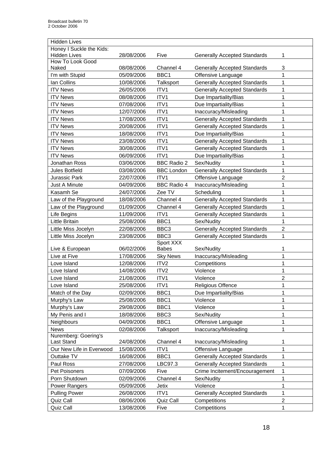| <b>Hidden Lives</b>      |            |                    |                                     |                |
|--------------------------|------------|--------------------|-------------------------------------|----------------|
| Honey I Suckle the Kids: |            |                    |                                     |                |
| <b>Hidden Lives</b>      | 28/08/2006 | Five               | <b>Generally Accepted Standards</b> | 1              |
| How To Look Good         |            |                    |                                     |                |
| Naked                    | 08/08/2006 | Channel 4          | <b>Generally Accepted Standards</b> | 3              |
| I'm with Stupid          | 05/09/2006 | BBC1               | Offensive Language                  | 1              |
| Ian Collins              | 10/08/2006 | Talksport          | <b>Generally Accepted Standards</b> | 1              |
| <b>ITV News</b>          | 26/05/2006 | ITV1               | <b>Generally Accepted Standards</b> | 1              |
| <b>ITV News</b>          | 08/08/2006 | ITV1               | Due Impartiality/Bias               | 1              |
| <b>ITV News</b>          | 07/08/2006 | ITV1               | Due Impartiality/Bias               | 1              |
| <b>ITV News</b>          | 12/07/2006 | ITV1               | Inaccuracy/Misleading               | 1              |
| <b>ITV News</b>          | 17/08/2006 | ITV1               | <b>Generally Accepted Standards</b> | 1              |
| <b>ITV News</b>          | 20/08/2006 | ITV1               | <b>Generally Accepted Standards</b> | 1              |
| <b>ITV News</b>          | 18/08/2006 | ITV1               | Due Impartiality/Bias               | 1              |
| <b>ITV News</b>          | 23/08/2006 | ITV1               | <b>Generally Accepted Standards</b> | 1              |
| <b>ITV News</b>          | 30/08/2006 | ITV1               | <b>Generally Accepted Standards</b> | 1              |
| <b>ITV News</b>          | 06/09/2006 | ITV1               | Due Impartiality/Bias               | 1              |
| Jonathan Ross            | 03/06/2006 | <b>BBC Radio 2</b> | Sex/Nudity                          | $\mathbf 1$    |
| <b>Jules Botfield</b>    | 03/08/2006 | <b>BBC London</b>  | <b>Generally Accepted Standards</b> | 1              |
| Jurassic Park            | 22/07/2006 | ITV1               | Offensive Language                  | $\overline{2}$ |
| Just A Minute            | 04/09/2006 | <b>BBC Radio 4</b> | Inaccuracy/Misleading               | 1              |
| Kasamh Se                | 24/07/2006 | Zee TV             | Scheduling                          | 1              |
| Law of the Playground    | 18/08/2006 | Channel 4          | <b>Generally Accepted Standards</b> | 1              |
| Law of the Playground    | 01/09/2006 | Channel 4          | <b>Generally Accepted Standards</b> | 1              |
| Life Begins              | 11/09/2006 | ITV1               | <b>Generally Accepted Standards</b> | $\mathbf 1$    |
| Little Britain           | 25/08/2006 | BBC1               | Sex/Nudity                          | 1              |
| Little Miss Jocelyn      | 22/08/2006 | BBC <sub>3</sub>   | <b>Generally Accepted Standards</b> | $\overline{2}$ |
| Little Miss Jocelyn      | 23/08/2006 | BBC <sub>3</sub>   | <b>Generally Accepted Standards</b> | 1              |
|                          |            | Sport XXX          |                                     |                |
| Live & European          | 06/02/2006 | <b>Babes</b>       | Sex/Nudity                          | 1              |
| Live at Five             | 17/08/2006 | <b>Sky News</b>    | Inaccuracy/Misleading               | 1              |
| Love Island              | 12/08/2006 | ITV <sub>2</sub>   | Competitions                        | 1              |
| Love Island              | 14/08/2006 | ITV2               | Violence                            | 1              |
| Love Island              | 21/08/2006 | ITV1               | Violence                            | 2              |
| Love Island              | 25/08/2006 | ITV1               | <b>Religious Offence</b>            | 1              |
| Match of the Day         | 02/09/2006 | BBC1               | Due Impartiality/Bias               | 1              |
| Murphy's Law             | 25/08/2006 | BBC1               | Violence                            | 1              |
| Murphy's Law             | 29/08/2006 | BBC1               | Violence                            | 1              |
| My Penis and I           | 18/08/2006 | BBC <sub>3</sub>   | Sex/Nudity                          | 1              |
| Neighbours               | 04/09/2006 | BBC1               | Offensive Language                  | 1              |
| <b>News</b>              | 02/08/2006 | Talksport          | Inaccuracy/Misleading               | 1              |
| Nuremberg: Goering's     |            |                    |                                     |                |
| Last Stand               | 24/08/2006 | Channel 4          | Inaccuracy/Misleading               | 1              |
| Our New Life in Everwood | 15/08/2006 | ITV1               | Offensive Language                  | 1              |
| Outtake TV               | 16/08/2006 | BBC1               | <b>Generally Accepted Standards</b> | 1              |
| Paul Ross                | 27/08/2006 | LBC97.3            | <b>Generally Accepted Standards</b> | 1              |
| Pet Poisoners            | 07/09/2006 | Five               | Crime Incitement/Encouragement      | $\mathbf 1$    |
| Porn Shutdown            | 02/09/2006 | Channel 4          | Sex/Nudity                          | 1              |
| <b>Power Rangers</b>     | 05/09/2006 | Jetix              | Violence                            | 1              |
| <b>Pulling Power</b>     | 26/08/2006 | ITV1               | <b>Generally Accepted Standards</b> | $\mathbf 1$    |
| Quiz Call                | 08/06/2006 | Quiz Call          | Competitions                        | $\overline{c}$ |
| Quiz Call                | 13/08/2006 | Five               | Competitions                        | 1              |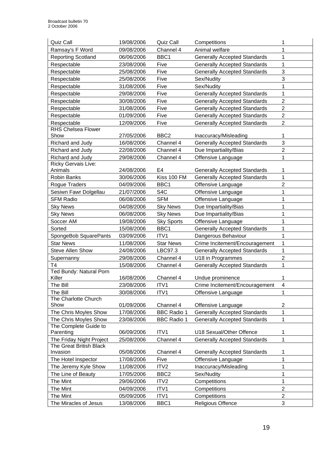| <b>Quiz Call</b>                               | 19/08/2006 | Quiz Call          | Competitions                                              | 1                         |
|------------------------------------------------|------------|--------------------|-----------------------------------------------------------|---------------------------|
| Ramsay's F Word                                | 09/08/2006 | Channel 4          | Animal welfare                                            | 1                         |
| <b>Reporting Scotland</b>                      | 06/06/2006 | BBC1               | <b>Generally Accepted Standards</b>                       | 1                         |
| Respectable                                    | 23/08/2006 | Five               | <b>Generally Accepted Standards</b>                       | $\mathbf 1$               |
| Respectable                                    | 25/08/2006 | Five               | <b>Generally Accepted Standards</b>                       | $\ensuremath{\mathsf{3}}$ |
| Respectable                                    | 25/08/2006 | Five               | Sex/Nudity                                                | 3                         |
| Respectable                                    | 31/08/2006 | Five               | Sex/Nudity                                                | 1                         |
| Respectable                                    | 29/08/2006 | Five               | <b>Generally Accepted Standards</b>                       | 1                         |
| Respectable                                    | 30/08/2006 | Five               | <b>Generally Accepted Standards</b>                       | $\overline{c}$            |
| Respectable                                    | 31/08/2006 | Five               | <b>Generally Accepted Standards</b>                       | $\overline{2}$            |
| Respectable                                    | 01/09/2006 | Five               | <b>Generally Accepted Standards</b>                       | $\boldsymbol{2}$          |
| Respectable                                    | 12/09/2006 | Five               | <b>Generally Accepted Standards</b>                       | $\overline{2}$            |
| <b>RHS Chelsea Flower</b>                      |            |                    |                                                           |                           |
| Show                                           | 27/05/2006 | BBC <sub>2</sub>   | Inaccuracy/Misleading                                     | 1                         |
| Richard and Judy                               | 16/08/2006 | Channel 4          | <b>Generally Accepted Standards</b>                       | 3                         |
| Richard and Judy                               | 22/08/2006 | Channel 4          | Due Impartiality/Bias                                     | $\overline{2}$            |
| Richard and Judy                               | 29/08/2006 | Channel 4          | Offensive Language                                        | 1                         |
| Ricky Gervais Live:                            |            |                    |                                                           |                           |
| Animals                                        | 24/08/2006 | E <sub>4</sub>     | <b>Generally Accepted Standards</b>                       | 1                         |
| <b>Robin Banks</b>                             | 30/06/2006 | Kiss 100 FM        | <b>Generally Accepted Standards</b>                       | 1                         |
| Rogue Traders                                  | 04/09/2006 | BBC1               | Offensive Language                                        | $\overline{2}$            |
| Sesiwn Fawr Dolgellau                          | 21/07/2006 | S <sub>4</sub> C   | Offensive Language                                        | 1                         |
| <b>SFM Radio</b>                               | 06/08/2006 | <b>SFM</b>         | Offensive Language                                        | 1                         |
| <b>Sky News</b>                                | 04/08/2006 | <b>Sky News</b>    | Due Impartiality/Bias                                     | 1                         |
| <b>Sky News</b>                                | 06/08/2006 | <b>Sky News</b>    | Due Impartiality/Bias                                     | 1                         |
| Soccer AM                                      | 19/08/2006 | <b>Sky Sports</b>  | Offensive Language                                        | 1                         |
| Sorted                                         | 15/08/2006 | BBC1               | <b>Generally Accepted Standards</b>                       | 1                         |
| SpongeBob SquarePants                          | 03/09/2006 | ITV1               | Dangerous Behaviour                                       | 1                         |
| <b>Star News</b>                               | 11/08/2006 | <b>Star News</b>   | Crime Incitement/Encouragement                            | $\mathbf{1}$              |
| <b>Steve Allen Show</b>                        | 24/08/2006 | LBC97.3            | <b>Generally Accepted Standards</b>                       | 1                         |
| Supernanny                                     | 29/08/2006 | Channel 4          | U18 in Programmes                                         | $\overline{2}$            |
| T <sub>4</sub>                                 | 15/08/2006 | Channel 4          | <b>Generally Accepted Standards</b>                       | 1                         |
| Ted Bundy: Natural Porn                        |            |                    |                                                           |                           |
| Killer                                         | 16/08/2006 | Channel 4          | Undue prominence                                          | 1                         |
| The Bill                                       | 23/08/2006 | ITV1               | Crime Incitement/Encouragement                            | 4                         |
| The Bill                                       | 30/08/2006 | ITV1               | Offensive Language                                        | 1                         |
| The Charlotte Church                           |            |                    |                                                           |                           |
| Show<br>The Chris Moyles Show                  | 01/09/2006 | Channel 4          | Offensive Language<br><b>Generally Accepted Standards</b> | $\overline{2}$            |
|                                                | 17/08/2006 | <b>BBC Radio 1</b> |                                                           | 1                         |
| The Chris Moyles Show<br>The Complete Guide to | 23/08/2006 | <b>BBC Radio 1</b> | <b>Generally Accepted Standards</b>                       | 1                         |
| Parenting                                      | 06/09/2006 | ITV1               | U18 Sexual/Other Offence                                  | 1                         |
| The Friday Night Project                       | 25/08/2006 | Channel 4          | <b>Generally Accepted Standards</b>                       | 1                         |
| The Great British Black                        |            |                    |                                                           |                           |
| Invasion                                       | 05/08/2006 | Channel 4          | <b>Generally Accepted Standards</b>                       | 1                         |
| The Hotel Inspector                            | 17/08/2006 | Five               | Offensive Language                                        | 1                         |
| The Jeremy Kyle Show                           | 11/08/2006 | ITV <sub>2</sub>   | Inaccuracy/Misleading                                     | 1                         |
| The Line of Beauty                             | 17/05/2006 | BBC <sub>2</sub>   | Sex/Nudity                                                | 1                         |
| The Mint                                       | 29/06/2006 | ITV <sub>2</sub>   | Competitions                                              | 1                         |
| The Mint                                       | 04/09/2006 | ITV1               | Competitions                                              | $\overline{2}$            |
| The Mint                                       | 05/09/2006 | ITV1               | Competitions                                              | $\overline{2}$            |
| The Miracles of Jesus                          | 13/08/2006 | BBC1               | Religious Offence                                         | 3                         |